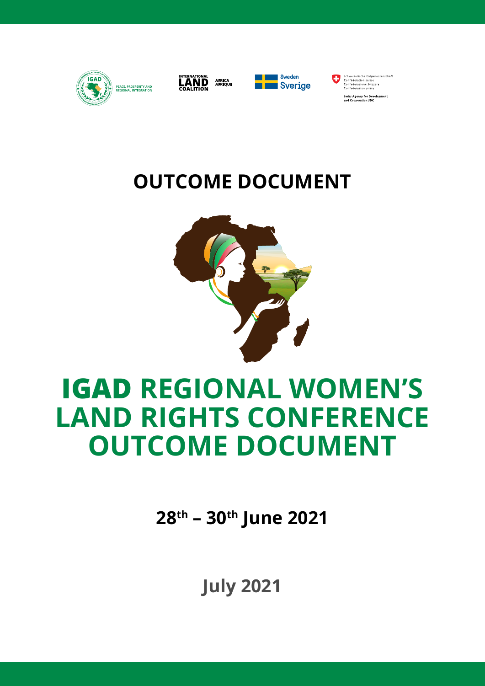

**28th – 30th June 2021**

# **IGAD REGIONAL WOMEN'S LAND RIGHTS CONFERENCE OUTCOME DOCUMENT**



# **OUTCOME DOCUMENT**







Schweizerische Eidgenossenschaft<br>Confédération suisse<br>Confederazione Svizzera<br>Confederazion svizza .<br>Swiss Agency for Development<br>and Cooperation SDC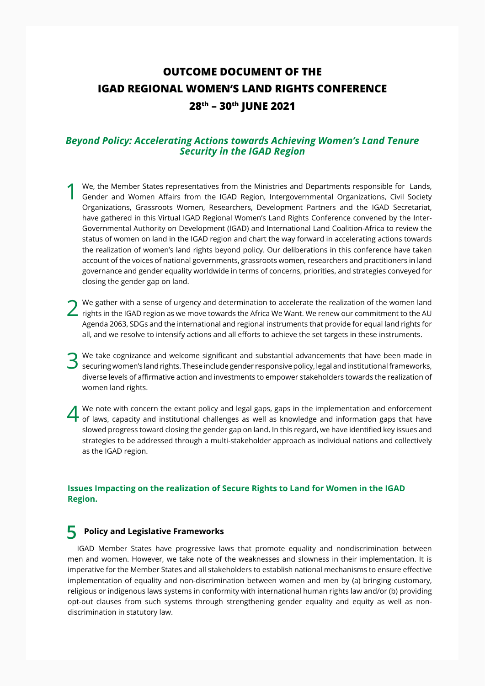### **OUTCOME DOCUMENT OF THE IGAD REGIONAL WOMEN'S LAND RIGHTS CONFERENCE 28th – 30th JUNE 2021**

#### *Beyond Policy: Accelerating Actions towards Achieving Women's Land Tenure Security in the IGAD Region*

- 1 We, the Member States representatives from the Ministries and Departments responsible for Lands, Gender and Women Affairs from the IGAD Region, Intergovernmental Organizations, Civil Society Organizations, Grassroots Women, Researchers, Development Partners and the IGAD Secretariat, have gathered in this Virtual IGAD Regional Women's Land Rights Conference convened by the Inter-Governmental Authority on Development (IGAD) and International Land Coalition-Africa to review the status of women on land in the IGAD region and chart the way forward in accelerating actions towards the realization of women's land rights beyond policy. Our deliberations in this conference have taken account of the voices of national governments, grassroots women, researchers and practitioners in land governance and gender equality worldwide in terms of concerns, priorities, and strategies conveyed for closing the gender gap on land.
- **2** We gather with a sense of urgency and determination to accelerate the realization of the women land rights in the IGAD region as we move towards the Africa We Want. We renew our commitment to the AU Agenda 2063, SDGs and the international and regional instruments that provide for equal land rights for all, and we resolve to intensify actions and all efforts to achieve the set targets in these instruments.
- We take cognizance and welcome significant and substantial advancements that have been made in securing women's land rights. These include gender responsive policy, legal and institutional frameworks, diverse levels of affirmative action and investments to empower stakeholders towards the realization of women land rights.
- We note with concern the extant policy and legal gaps, gaps in the implementation and enforcement<br>of laws, capacity and institutional challenges as well as knowledge and information gaps that have slowed progress toward closing the gender gap on land. In this regard, we have identified key issues and strategies to be addressed through a multi-stakeholder approach as individual nations and collectively as the IGAD region.

#### **Issues Impacting on the realization of Secure Rights to Land for Women in the IGAD Region.**

#### **5 Policy and Legislative Frameworks**

IGAD Member States have progressive laws that promote equality and nondiscrimination between men and women. However, we take note of the weaknesses and slowness in their implementation. It is imperative for the Member States and all stakeholders to establish national mechanisms to ensure effective implementation of equality and non-discrimination between women and men by (a) bringing customary, religious or indigenous laws systems in conformity with international human rights law and/or (b) providing opt-out clauses from such systems through strengthening gender equality and equity as well as nondiscrimination in statutory law.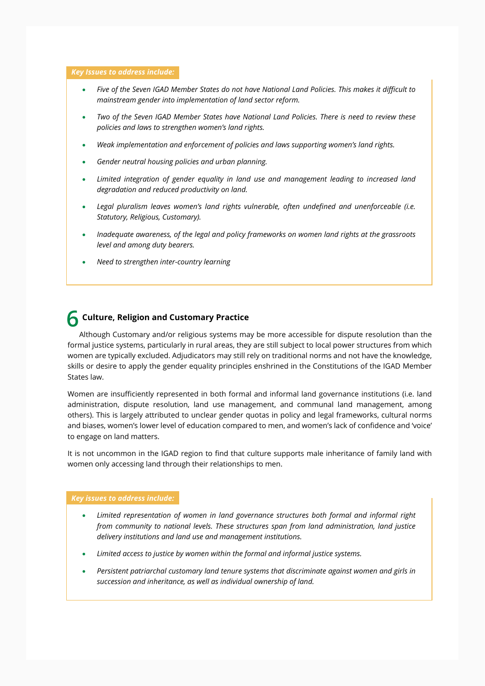#### *Key Issues to address include:*

- *Five of the Seven IGAD Member States do not have National Land Policies. This makes it difficult to mainstream gender into implementation of land sector reform.*
- *Two of the Seven IGAD Member States have National Land Policies. There is need to review these policies and laws to strengthen women's land rights.*
- *Weak implementation and enforcement of policies and laws supporting women's land rights.*
- *Gender neutral housing policies and urban planning.*
- *Limited integration of gender equality in land use and management leading to increased land degradation and reduced productivity on land.*
- *Legal pluralism leaves women's land rights vulnerable, often undefined and unenforceable (i.e. Statutory, Religious, Customary).*
- *Inadequate awareness, of the legal and policy frameworks on women land rights at the grassroots level and among duty bearers.*
- *Need to strengthen inter-country learning*

### **6 Culture, Religion and Customary Practice**

Although Customary and/or religious systems may be more accessible for dispute resolution than the formal justice systems, particularly in rural areas, they are still subject to local power structures from which women are typically excluded. Adjudicators may still rely on traditional norms and not have the knowledge, skills or desire to apply the gender equality principles enshrined in the Constitutions of the IGAD Member States law.

Women are insufficiently represented in both formal and informal land governance institutions (i.e. land administration, dispute resolution, land use management, and communal land management, among others). This is largely attributed to unclear gender quotas in policy and legal frameworks, cultural norms and biases, women's lower level of education compared to men, and women's lack of confidence and 'voice' to engage on land matters.

It is not uncommon in the IGAD region to find that culture supports male inheritance of family land with women only accessing land through their relationships to men.

#### *Key issues to address include:*

- *Limited representation of women in land governance structures both formal and informal right from community to national levels. These structures span from land administration, land justice delivery institutions and land use and management institutions.*
- *Limited access to justice by women within the formal and informal justice systems.*
- *Persistent patriarchal customary land tenure systems that discriminate against women and girls in succession and inheritance, as well as individual ownership of land.*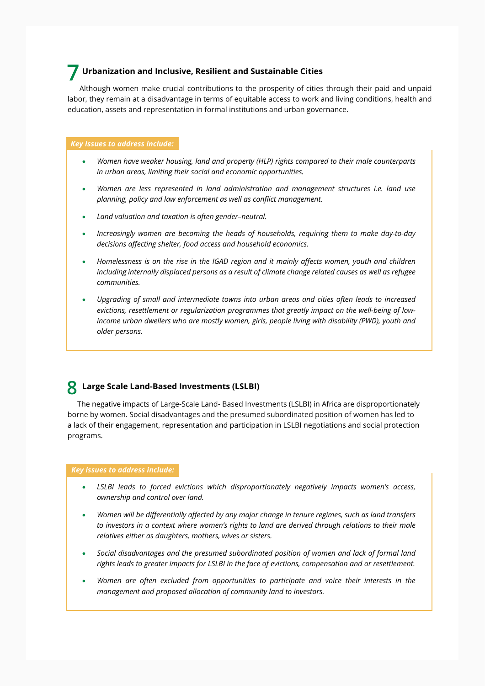#### **7 Urbanization and Inclusive, Resilient and Sustainable Cities**

Although women make crucial contributions to the prosperity of cities through their paid and unpaid labor, they remain at a disadvantage in terms of equitable access to work and living conditions, health and education, assets and representation in formal institutions and urban governance.

#### *Key Issues to address include:*

- *Women have weaker housing, land and property (HLP) rights compared to their male counterparts in urban areas, limiting their social and economic opportunities.*
- *Women are less represented in land administration and management structures i.e. land use planning, policy and law enforcement as well as conflict management.*
- *Land valuation and taxation is often gender–neutral.*
- *Increasingly women are becoming the heads of households, requiring them to make day-to-day decisions affecting shelter, food access and household economics.*
- *Homelessness is on the rise in the IGAD region and it mainly affects women, youth and children including internally displaced persons as a result of climate change related causes as well as refugee communities.*
- *Upgrading of small and intermediate towns into urban areas and cities often leads to increased evictions, resettlement or regularization programmes that greatly impact on the well-being of lowincome urban dwellers who are mostly women, girls, people living with disability (PWD), youth and older persons.*

#### **8 Large Scale Land-Based Investments (LSLBI)**

The negative impacts of Large-Scale Land- Based Investments (LSLBI) in Africa are disproportionately borne by women. Social disadvantages and the presumed subordinated position of women has led to a lack of their engagement, representation and participation in LSLBI negotiations and social protection programs.

#### *Key issues to address include:*

- *LSLBI leads to forced evictions which disproportionately negatively impacts women's access, ownership and control over land.*
- *Women will be differentially affected by any major change in tenure regimes, such as land transfers to investors in a context where women's rights to land are derived through relations to their male relatives either as daughters, mothers, wives or sisters.*
- *Social disadvantages and the presumed subordinated position of women and lack of formal land rights leads to greater impacts for LSLBI in the face of evictions, compensation and or resettlement.*
- *Women are often excluded from opportunities to participate and voice their interests in the management and proposed allocation of community land to investors.*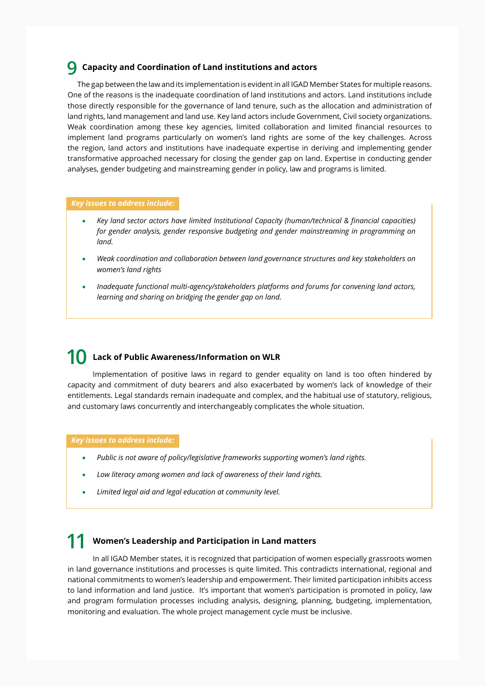#### **9 Capacity and Coordination of Land institutions and actors**

The gap between the law and its implementation is evident in all IGAD Member States for multiple reasons. One of the reasons is the inadequate coordination of land institutions and actors. Land institutions include those directly responsible for the governance of land tenure, such as the allocation and administration of land rights, land management and land use. Key land actors include Government, Civil society organizations. Weak coordination among these key agencies, limited collaboration and limited financial resources to implement land programs particularly on women's land rights are some of the key challenges. Across the region, land actors and institutions have inadequate expertise in deriving and implementing gender transformative approached necessary for closing the gender gap on land. Expertise in conducting gender analyses, gender budgeting and mainstreaming gender in policy, law and programs is limited.

#### *Key issues to address include:*

- *Key land sector actors have limited Institutional Capacity (human/technical & financial capacities) for gender analysis, gender responsive budgeting and gender mainstreaming in programming on land.*
- *Weak coordination and collaboration between land governance structures and key stakeholders on women's land rights*
- *Inadequate functional multi-agency/stakeholders platforms and forums for convening land actors, learning and sharing on bridging the gender gap on land.*

#### **Lack of Public Awareness/Information on WLR 10**

Implementation of positive laws in regard to gender equality on land is too often hindered by capacity and commitment of duty bearers and also exacerbated by women's lack of knowledge of their entitlements. Legal standards remain inadequate and complex, and the habitual use of statutory, religious, and customary laws concurrently and interchangeably complicates the whole situation.

 *Key issues to address include:*

- *Public is not aware of policy/legislative frameworks supporting women's land rights.*
- *Low literacy among women and lack of awareness of their land rights.*
- *Limited legal aid and legal education at community level.*

#### **Women's Leadership and Participation in Land matters 11**

In all IGAD Member states, it is recognized that participation of women especially grassroots women in land governance institutions and processes is quite limited. This contradicts international, regional and national commitments to women's leadership and empowerment. Their limited participation inhibits access to land information and land justice. It's important that women's participation is promoted in policy, law and program formulation processes including analysis, designing, planning, budgeting, implementation, monitoring and evaluation. The whole project management cycle must be inclusive.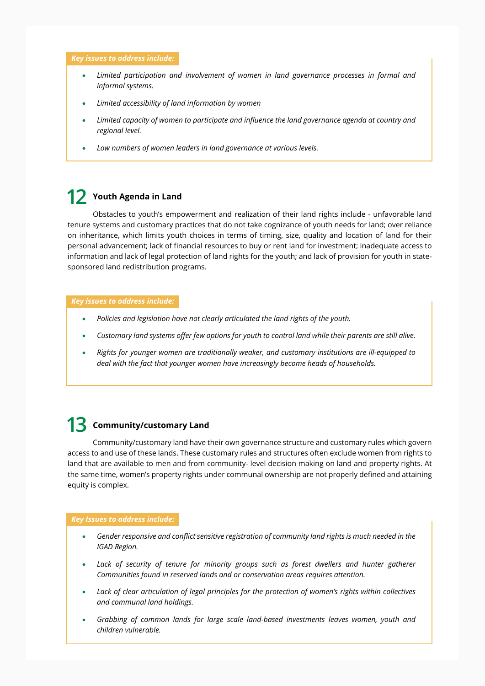#### *Key issues to address include:*

- *Limited participation and involvement of women in land governance processes in formal and informal systems.*
- *Limited accessibility of land information by women*
- *Limited capacity of women to participate and influence the land governance agenda at country and regional level.*
- *Low numbers of women leaders in land governance at various levels.*

### **Youth Agenda in Land 12**

Obstacles to youth's empowerment and realization of their land rights include - unfavorable land tenure systems and customary practices that do not take cognizance of youth needs for land; over reliance on inheritance, which limits youth choices in terms of timing, size, quality and location of land for their personal advancement; lack of financial resources to buy or rent land for investment; inadequate access to information and lack of legal protection of land rights for the youth; and lack of provision for youth in statesponsored land redistribution programs.

#### *Key issues to address include:*

- *Policies and legislation have not clearly articulated the land rights of the youth.*
- *Customary land systems offer few options for youth to control land while their parents are still alive.*
- *Rights for younger women are traditionally weaker, and customary institutions are ill-equipped to deal with the fact that younger women have increasingly become heads of households.*

### 13 Community/customary Land

Community/customary land have their own governance structure and customary rules which govern access to and use of these lands. These customary rules and structures often exclude women from rights to land that are available to men and from community- level decision making on land and property rights. At the same time, women's property rights under communal ownership are not properly defined and attaining equity is complex.

#### *Key Issues to address include:*

- *Gender responsive and conflict sensitive registration of community land rights is much needed in the IGAD Region.*
- *Lack of security of tenure for minority groups such as forest dwellers and hunter gatherer Communities found in reserved lands and or conservation areas requires attention.*
- *Lack of clear articulation of legal principles for the protection of women's rights within collectives and communal land holdings.*
- *Grabbing of common lands for large scale land-based investments leaves women, youth and children vulnerable.*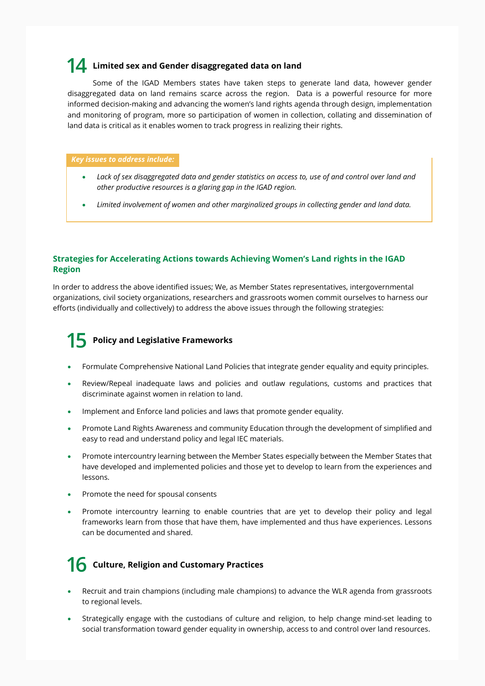### **14** Limited sex and Gender disaggregated data on land

Some of the IGAD Members states have taken steps to generate land data, however gender disaggregated data on land remains scarce across the region. Data is a powerful resource for more informed decision-making and advancing the women's land rights agenda through design, implementation and monitoring of program, more so participation of women in collection, collating and dissemination of land data is critical as it enables women to track progress in realizing their rights.

#### *Key issues to address include:*

- *Lack of sex disaggregated data and gender statistics on access to, use of and control over land and other productive resources is a glaring gap in the IGAD region.*
- *Limited involvement of women and other marginalized groups in collecting gender and land data.*

#### **Strategies for Accelerating Actions towards Achieving Women's Land rights in the IGAD Region**

In order to address the above identified issues; We, as Member States representatives, intergovernmental organizations, civil society organizations, researchers and grassroots women commit ourselves to harness our efforts (individually and collectively) to address the above issues through the following strategies:

## **15** Policy and Legislative Frameworks

- Formulate Comprehensive National Land Policies that integrate gender equality and equity principles.
- Review/Repeal inadequate laws and policies and outlaw regulations, customs and practices that discriminate against women in relation to land.
- Implement and Enforce land policies and laws that promote gender equality.
- Promote Land Rights Awareness and community Education through the development of simplified and easy to read and understand policy and legal IEC materials.
- Promote intercountry learning between the Member States especially between the Member States that have developed and implemented policies and those yet to develop to learn from the experiences and lessons.
- Promote the need for spousal consents
- Promote intercountry learning to enable countries that are yet to develop their policy and legal frameworks learn from those that have them, have implemented and thus have experiences. Lessons can be documented and shared.

### **16** Culture, Religion and Customary Practices

- Recruit and train champions (including male champions) to advance the WLR agenda from grassroots to regional levels.
- Strategically engage with the custodians of culture and religion, to help change mind-set leading to social transformation toward gender equality in ownership, access to and control over land resources.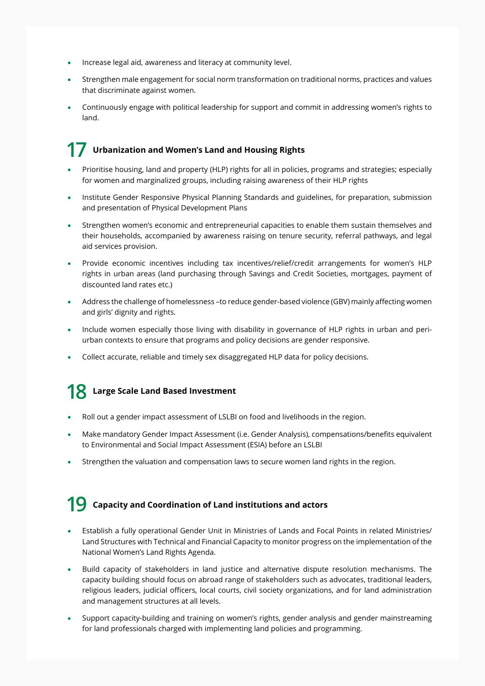- Increase legal aid, awareness and literacy at community level.
- Strengthen male engagement for social norm transformation on traditional norms, practices and values that discriminate against women.
- Continuously engage with political leadership for support and commit in addressing women's rights to land.

#### **Urbanization and Women's Land and Housing Rights 17**

- Prioritise housing, land and property (HLP) rights for all in policies, programs and strategies; especially for women and marginalized groups, including raising awareness of their HLP rights
- Institute Gender Responsive Physical Planning Standards and guidelines, for preparation, submission and presentation of Physical Development Plans
- Strengthen women's economic and entrepreneurial capacities to enable them sustain themselves and their households, accompanied by awareness raising on tenure security, referral pathways, and legal aid services provision.
- Provide economic incentives including tax incentives/relief/credit arrangements for women's HLP rights in urban areas (land purchasing through Savings and Credit Societies, mortgages, payment of discounted land rates etc.)
- Address the challenge of homelessness –to reduce gender-based violence (GBV) mainly affecting women and girls' dignity and rights.
- Include women especially those living with disability in governance of HLP rights in urban and periurban contexts to ensure that programs and policy decisions are gender responsive.
- Collect accurate, reliable and timely sex disaggregated HLP data for policy decisions.

## **Large Scale Land Based Investment 18**

- Roll out a gender impact assessment of LSLBI on food and livelihoods in the region.
- Make mandatory Gender Impact Assessment (i.e. Gender Analysis), compensations/benefits equivalent to Environmental and Social Impact Assessment (ESIA) before an LSLBI
- Strengthen the valuation and compensation laws to secure women land rights in the region.

### **Capacity and Coordination of Land institutions and actors 19**

- Establish a fully operational Gender Unit in Ministries of Lands and Focal Points in related Ministries/ Land Structures with Technical and Financial Capacity to monitor progress on the implementation of the National Women's Land Rights Agenda.
- Build capacity of stakeholders in land justice and alternative dispute resolution mechanisms. The capacity building should focus on abroad range of stakeholders such as advocates, traditional leaders, religious leaders, judicial officers, local courts, civil society organizations, and for land administration and management structures at all levels.
- Support capacity-building and training on women's rights, gender analysis and gender mainstreaming for land professionals charged with implementing land policies and programming.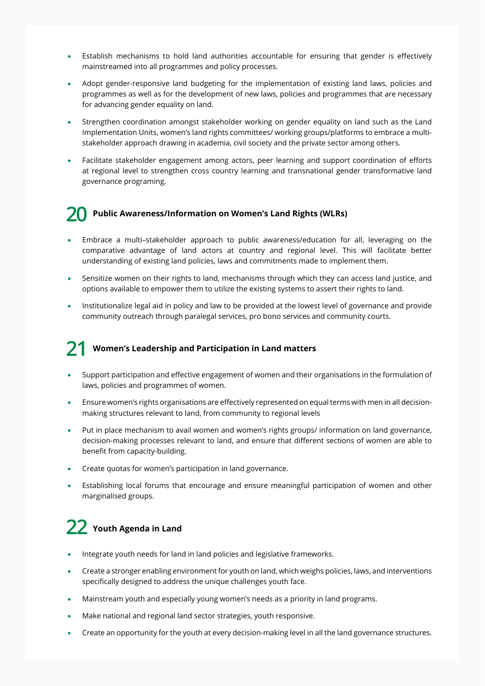- Establish mechanisms to hold land authorities accountable for ensuring that gender is effectively mainstreamed into all programmes and policy processes.
- Adopt gender-responsive land budgeting for the implementation of existing land laws, policies and programmes as well as for the development of new laws, policies and programmes that are necessary for advancing gender equality on land.
- Strengthen coordination amongst stakeholder working on gender equality on land such as the Land Implementation Units, women's land rights committees/ working groups/platforms to embrace a multistakeholder approach drawing in academia, civil society and the private sector among others.
- Facilitate stakeholder engagement among actors, peer learning and support coordination of efforts at regional level to strengthen cross country learning and transnational gender transformative land governance programing.

#### **Public Awareness/Information on Women's Land Rights (WLRs) 20**

- Embrace a multi–stakeholder approach to public awareness/education for all, leveraging on the comparative advantage of land actors at country and regional level. This will facilitate better understanding of existing land policies, laws and commitments made to implement them.
- Sensitize women on their rights to land, mechanisms through which they can access land justice, and options available to empower them to utilize the existing systems to assert their rights to land.
- Institutionalize legal aid in policy and law to be provided at the lowest level of governance and provide community outreach through paralegal services, pro bono services and community courts.

#### **Women's Leadership and Participation in Land matters 21**

- Support participation and effective engagement of women and their organisations in the formulation of laws, policies and programmes of women.
- Ensure women's rights organisations are effectively represented on equal terms with men in all decisionmaking structures relevant to land, from community to regional levels
- Put in place mechanism to avail women and women's rights groups/ information on land governance, decision-making processes relevant to land, and ensure that different sections of women are able to benefit from capacity-building.
- Create quotas for women's participation in land governance.
- Establishing local forums that encourage and ensure meaningful participation of women and other marginalised groups.

### **Youth Agenda in Land 22**

- Integrate youth needs for land in land policies and legislative frameworks.
- Create a stronger enabling environment for youth on land, which weighs policies, laws, and interventions specifically designed to address the unique challenges youth face.
- Mainstream youth and especially young women's needs as a priority in land programs.
- Make national and regional land sector strategies, youth responsive.
- Create an opportunity for the youth at every decision-making level in all the land governance structures.